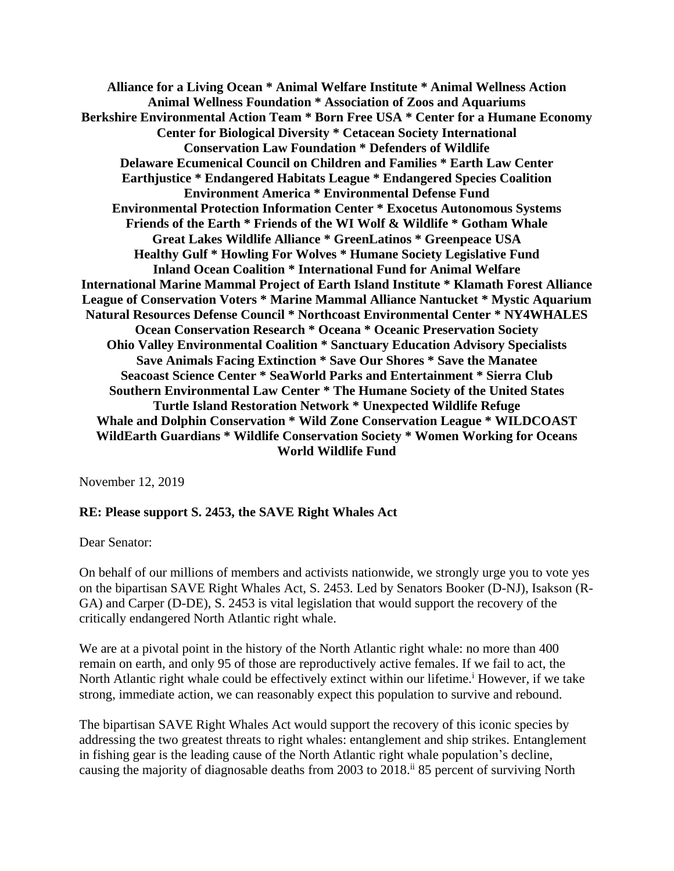**Alliance for a Living Ocean \* Animal Welfare Institute \* Animal Wellness Action Animal Wellness Foundation \* Association of Zoos and Aquariums Berkshire Environmental Action Team \* Born Free USA \* Center for a Humane Economy Center for Biological Diversity \* Cetacean Society International Conservation Law Foundation \* Defenders of Wildlife Delaware Ecumenical Council on Children and Families \* Earth Law Center Earthjustice \* Endangered Habitats League \* Endangered Species Coalition Environment America \* Environmental Defense Fund Environmental Protection Information Center \* Exocetus Autonomous Systems Friends of the Earth \* Friends of the WI Wolf & Wildlife \* Gotham Whale Great Lakes Wildlife Alliance \* GreenLatinos \* Greenpeace USA Healthy Gulf \* Howling For Wolves \* Humane Society Legislative Fund Inland Ocean Coalition \* International Fund for Animal Welfare International Marine Mammal Project of Earth Island Institute \* Klamath Forest Alliance League of Conservation Voters \* Marine Mammal Alliance Nantucket \* Mystic Aquarium Natural Resources Defense Council \* Northcoast Environmental Center \* NY4WHALES Ocean Conservation Research \* Oceana \* Oceanic Preservation Society Ohio Valley Environmental Coalition \* Sanctuary Education Advisory Specialists Save Animals Facing Extinction \* Save Our Shores \* Save the Manatee Seacoast Science Center \* SeaWorld Parks and Entertainment \* Sierra Club Southern Environmental Law Center \* The Humane Society of the United States Turtle Island Restoration Network \* Unexpected Wildlife Refuge Whale and Dolphin Conservation \* Wild Zone Conservation League \* WILDCOAST WildEarth Guardians \* Wildlife Conservation Society \* Women Working for Oceans World Wildlife Fund**

November 12, 2019

## **RE: Please support S. 2453, the SAVE Right Whales Act**

Dear Senator:

On behalf of our millions of members and activists nationwide, we strongly urge you to vote yes on the bipartisan SAVE Right Whales Act, S. 2453. Led by Senators Booker (D-NJ), Isakson (R-GA) and Carper (D-DE), S. 2453 is vital legislation that would support the recovery of the critically endangered North Atlantic right whale.

We are at a pivotal point in the history of the North Atlantic right whale: no more than 400 remain on earth, and only 95 of those are reproductively active females. If we fail to act, the North Atlantic right whale could be effectively extinct within our lifetime.<sup>i</sup> However, if we take strong, immediate action, we can reasonably expect this population to survive and rebound.

The bipartisan SAVE Right Whales Act would support the recovery of this iconic species by addressing the two greatest threats to right whales: entanglement and ship strikes. Entanglement in fishing gear is the leading cause of the North Atlantic right whale population's decline, causing the majority of diagnosable deaths from 2003 to 2018.<sup>ii</sup> 85 percent of surviving North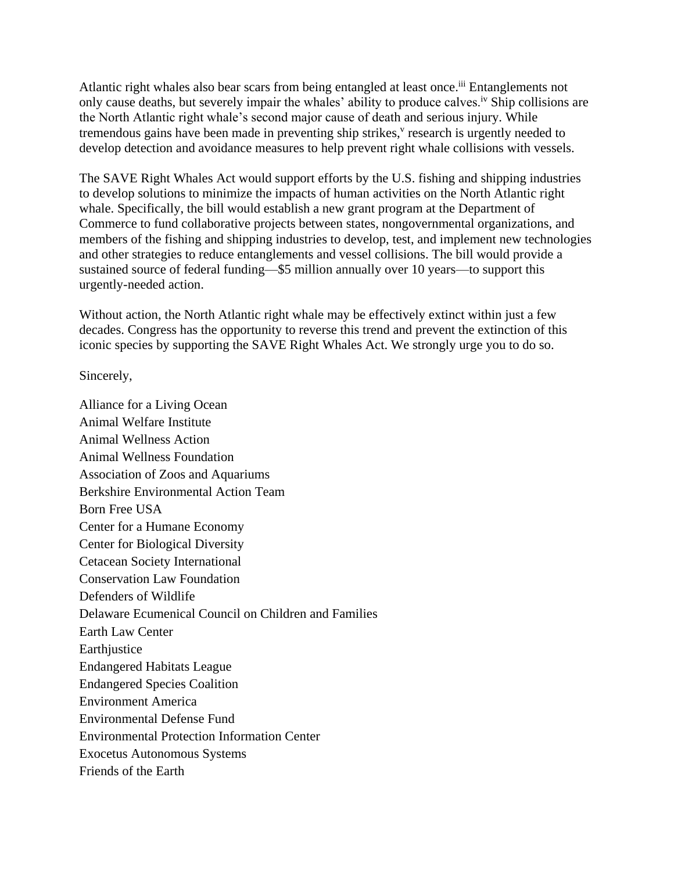Atlantic right whales also bear scars from being entangled at least once.<sup>iii</sup> Entanglements not only cause deaths, but severely impair the whales' ability to produce calves.<sup>iv</sup> Ship collisions are the North Atlantic right whale's second major cause of death and serious injury. While tremendous gains have been made in preventing ship strikes,<sup>v</sup> research is urgently needed to develop detection and avoidance measures to help prevent right whale collisions with vessels.

The SAVE Right Whales Act would support efforts by the U.S. fishing and shipping industries to develop solutions to minimize the impacts of human activities on the North Atlantic right whale. Specifically, the bill would establish a new grant program at the Department of Commerce to fund collaborative projects between states, nongovernmental organizations, and members of the fishing and shipping industries to develop, test, and implement new technologies and other strategies to reduce entanglements and vessel collisions. The bill would provide a sustained source of federal funding—\$5 million annually over 10 years—to support this urgently-needed action.

Without action, the North Atlantic right whale may be effectively extinct within just a few decades. Congress has the opportunity to reverse this trend and prevent the extinction of this iconic species by supporting the SAVE Right Whales Act. We strongly urge you to do so.

Sincerely,

Alliance for a Living Ocean Animal Welfare Institute Animal Wellness Action Animal Wellness Foundation Association of Zoos and Aquariums Berkshire Environmental Action Team Born Free USA Center for a Humane Economy Center for Biological Diversity Cetacean Society International Conservation Law Foundation Defenders of Wildlife Delaware Ecumenical Council on Children and Families Earth Law Center Earthjustice Endangered Habitats League Endangered Species Coalition Environment America Environmental Defense Fund Environmental Protection Information Center Exocetus Autonomous Systems Friends of the Earth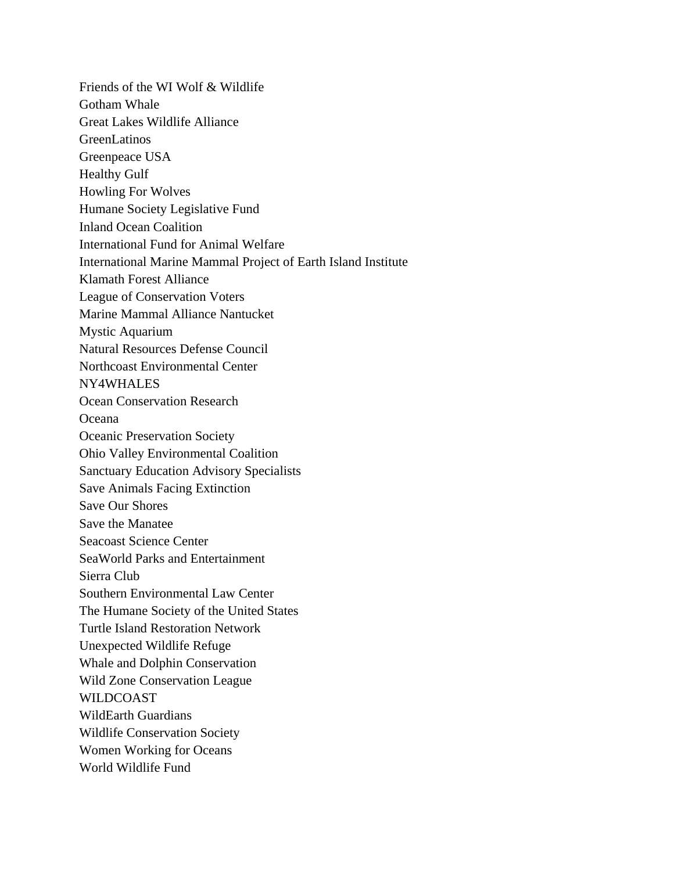Friends of the WI Wolf & Wildlife Gotham Whale Great Lakes Wildlife Alliance GreenLatinos Greenpeace USA Healthy Gulf Howling For Wolves Humane Society Legislative Fund Inland Ocean Coalition International Fund for Animal Welfare International Marine Mammal Project of Earth Island Institute Klamath Forest Alliance League of Conservation Voters Marine Mammal Alliance Nantucket Mystic Aquarium Natural Resources Defense Council Northcoast Environmental Center NY4WHALES Ocean Conservation Research Oceana Oceanic Preservation Society Ohio Valley Environmental Coalition Sanctuary Education Advisory Specialists Save Animals Facing Extinction Save Our Shores Save the Manatee Seacoast Science Center SeaWorld Parks and Entertainment Sierra Club Southern Environmental Law Center The Humane Society of the United States Turtle Island Restoration Network Unexpected Wildlife Refuge Whale and Dolphin Conservation Wild Zone Conservation League WILDCOAST WildEarth Guardians Wildlife Conservation Society Women Working for Oceans World Wildlife Fund